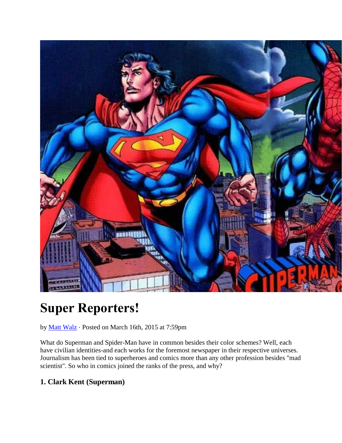

# **Super Reporters!**

by [Matt Walz](http://moviepilot.com/WonderMan_LOH) ⋅ Posted on March 16th, 2015 at 7:59pm

What do Superman and Spider-Man have in common besides their color schemes? Well, each have civilian identities-and each works for the foremost newspaper in their respective universes. Journalism has been tied to superheroes and comics more than any other profession besides "mad scientist". So who in comics joined the ranks of the press, and why?

# **1. Clark Kent (Superman)**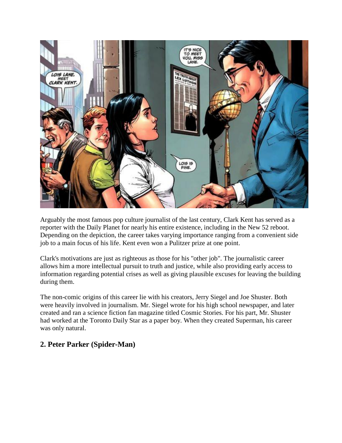

Arguably the most famous pop culture journalist of the last century, Clark Kent has served as a reporter with the Daily Planet for nearly his entire existence, including in the New 52 reboot. Depending on the depiction, the career takes varying importance ranging from a convenient side job to a main focus of his life. Kent even won a Pulitzer prize at one point.

Clark's motivations are just as righteous as those for his "other job". The journalistic career allows him a more intellectual pursuit to truth and justice, while also providing early access to information regarding potential crises as well as giving plausible excuses for leaving the building during them.

The non-comic origins of this career lie with his creators, Jerry Siegel and Joe Shuster. Both were heavily involved in journalism. Mr. Siegel wrote for his high school newspaper, and later created and ran a science fiction fan magazine titled Cosmic Stories. For his part, Mr. Shuster had worked at the Toronto Daily Star as a paper boy. When they created Superman, his career was only natural.

### **2. Peter Parker (Spider-Man)**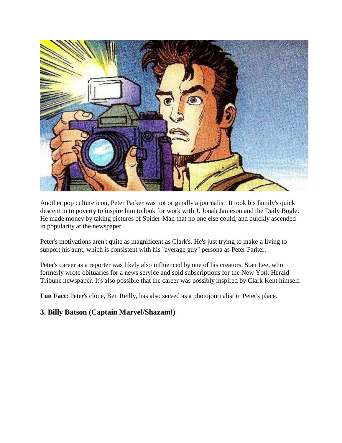

Another pop culture icon, Peter Parker was not originally a journalist. It took his family's quick descent in to poverty to inspire him to look for work with J. Jonah Jameson and the Daily Bugle. He made money by taking pictures of Spider-Man that no one else could, and quickly ascended in popularity at the newspaper.

Peter's motivations aren't quite as magnificent as Clark's. He's just trying to make a living to support his aunt, which is consistent with his "average guy" persona as Peter Parker.

Peter's career as a reporter was likely also influenced by one of his creators, Stan Lee, who formerly wrote obituaries for a news service and sold subscriptions for the New York Herald Tribune newspaper. It's also possible that the career was possibly inspired by Clark Kent himself.

Fun Fact: Peter's clone, Ben Reilly, has also served as a photojournalist in Peter's place.

### **3. Billy Batson (Captain Marvel/Shazam!)**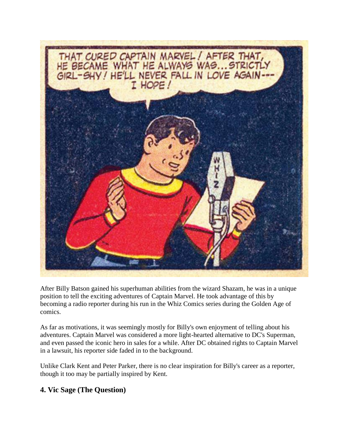

After Billy Batson gained his superhuman abilities from the wizard Shazam, he was in a unique position to tell the exciting adventures of Captain Marvel. He took advantage of this by becoming a radio reporter during his run in the Whiz Comics series during the Golden Age of comics.

As far as motivations, it was seemingly mostly for Billy's own enjoyment of telling about his adventures. Captain Marvel was considered a more light-hearted alternative to DC's Superman, and even passed the iconic hero in sales for a while. After DC obtained rights to Captain Marvel in a lawsuit, his reporter side faded in to the background.

Unlike Clark Kent and Peter Parker, there is no clear inspiration for Billy's career as a reporter, though it too may be partially inspired by Kent.

### **4. Vic Sage (The Question)**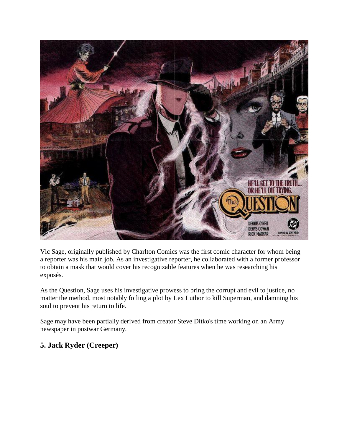

Vic Sage, originally published by Charlton Comics was the first comic character for whom being a reporter was his main job. As an investigative reporter, he collaborated with a former professor to obtain a mask that would cover his recognizable features when he was researching his exposés.

As the Question, Sage uses his investigative prowess to bring the corrupt and evil to justice, no matter the method, most notably foiling a plot by Lex Luthor to kill Superman, and damning his soul to prevent his return to life.

Sage may have been partially derived from creator Steve Ditko's time working on an Army newspaper in postwar Germany.

# **5. Jack Ryder (Creeper)**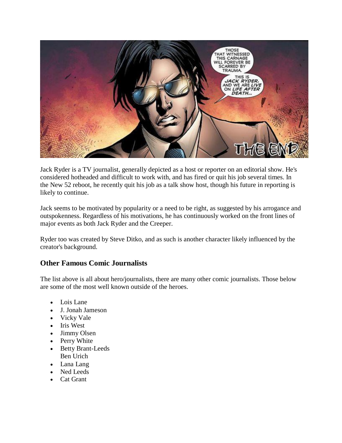

Jack Ryder is a TV journalist, generally depicted as a host or reporter on an editorial show. He's considered hotheaded and difficult to work with, and has fired or quit his job several times. In the New 52 reboot, he recently quit his job as a talk show host, though his future in reporting is likely to continue.

Jack seems to be motivated by popularity or a need to be right, as suggested by his arrogance and outspokenness. Regardless of his motivations, he has continuously worked on the front lines of major events as both Jack Ryder and the Creeper.

Ryder too was created by Steve Ditko, and as such is another character likely influenced by the creator's background.

### **Other Famous Comic Journalists**

The list above is all about hero/journalists, there are many other comic journalists. Those below are some of the most well known outside of the heroes.

- Lois Lane
- J. Jonah Jameson
- Vicky Vale
- Iris West
- Jimmy Olsen
- Perry White
- Betty Brant-Leeds Ben Urich
- Lana Lang
- Ned Leeds
- Cat Grant